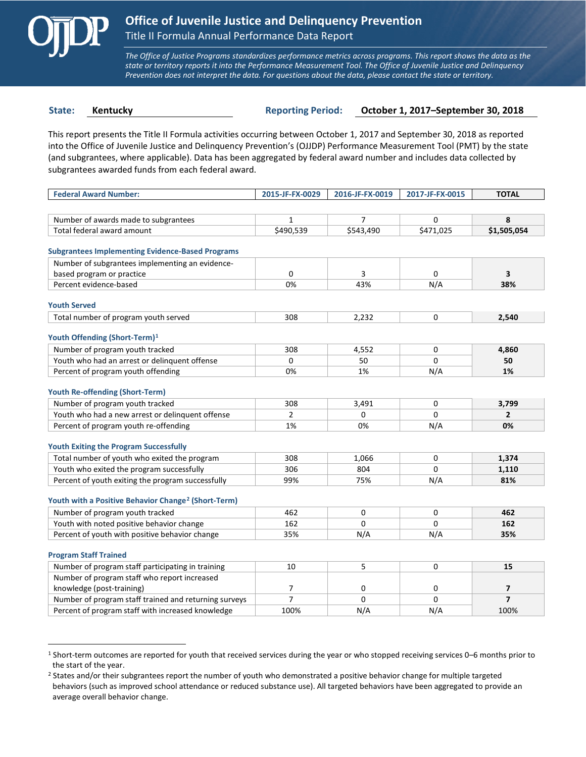

 $\overline{a}$ 

*The Office of Justice Programs standardizes performance metrics across programs. This report shows the data as the state or territory reports it into the Performance Measurement Tool. The Office of Juvenile Justice and Delinquency Prevention does not interpret the data. For questions about the data, please contact the state or territory.*

**State: Kentucky Reporting Period: October 1, 2017–September 30, 2018**

This report presents the Title II Formula activities occurring between October 1, 2017 and September 30, 2018 as reported into the Office of Juvenile Justice and Delinquency Prevention's (OJJDP) Performance Measurement Tool (PMT) by the state (and subgrantees, where applicable). Data has been aggregated by federal award number and includes data collected by subgrantees awarded funds from each federal award.

| <b>Federal Award Number:</b>                                    | 2015-JF-FX-0029 | 2016-JF-FX-0019 | 2017-JF-FX-0015 | <b>TOTAL</b>   |
|-----------------------------------------------------------------|-----------------|-----------------|-----------------|----------------|
|                                                                 |                 |                 |                 |                |
| Number of awards made to subgrantees                            | $\mathbf{1}$    | $\overline{7}$  | 0               | 8              |
| Total federal award amount                                      | \$490,539       | \$543,490       | \$471,025       | \$1,505,054    |
|                                                                 |                 |                 |                 |                |
| <b>Subgrantees Implementing Evidence-Based Programs</b>         |                 |                 |                 |                |
| Number of subgrantees implementing an evidence-                 |                 |                 |                 |                |
| based program or practice                                       | 0               | 3               | 0               | 3              |
| Percent evidence-based                                          | 0%              | 43%             | N/A             | 38%            |
| <b>Youth Served</b>                                             |                 |                 |                 |                |
| Total number of program youth served                            | 308             | 2,232           | 0               | 2.540          |
|                                                                 |                 |                 |                 |                |
| Youth Offending (Short-Term) <sup>1</sup>                       |                 |                 |                 |                |
| Number of program youth tracked                                 | 308             | 4.552           | 0               | 4,860          |
| Youth who had an arrest or delinquent offense                   | $\Omega$        | 50              | $\Omega$        | 50             |
| Percent of program youth offending                              | 0%              | 1%              | N/A             | 1%             |
|                                                                 |                 |                 |                 |                |
| <b>Youth Re-offending (Short-Term)</b>                          |                 |                 |                 |                |
| Number of program youth tracked                                 | 308             | 3,491           | 0               | 3,799          |
| Youth who had a new arrest or delinguent offense                | $\overline{2}$  | $\Omega$        | $\Omega$        | $\overline{2}$ |
| Percent of program youth re-offending                           | 1%              | 0%              | N/A             | 0%             |
|                                                                 |                 |                 |                 |                |
| <b>Youth Exiting the Program Successfully</b>                   |                 |                 |                 |                |
| Total number of youth who exited the program                    | 308             | 1,066           | 0               | 1,374          |
| Youth who exited the program successfully                       | 306             | 804             | 0               | 1,110          |
| Percent of youth exiting the program successfully               | 99%             | 75%             | N/A             | 81%            |
| Youth with a Positive Behavior Change <sup>2</sup> (Short-Term) |                 |                 |                 |                |
| Number of program youth tracked                                 | 462             | $\Omega$        | $\Omega$        | 462            |
| Youth with noted positive behavior change                       | 162             | $\Omega$        | $\Omega$        | 162            |
| Percent of youth with positive behavior change                  | 35%             | N/A             | N/A             | 35%            |
|                                                                 |                 |                 |                 |                |
| <b>Program Staff Trained</b>                                    |                 |                 |                 |                |
| Number of program staff participating in training               | 10              | 5               | 0               | 15             |
| Number of program staff who report increased                    |                 |                 |                 |                |
| knowledge (post-training)                                       | $\overline{7}$  | 0               | 0               | $\overline{ }$ |
| Number of program staff trained and returning surveys           | $\overline{7}$  | $\Omega$        | 0               | $\overline{7}$ |
| Percent of program staff with increased knowledge               | 100%            | N/A             | N/A             | 100%           |

<span id="page-0-0"></span><sup>1</sup> Short-term outcomes are reported for youth that received services during the year or who stopped receiving services 0–6 months prior to the start of the year.

<span id="page-0-1"></span><sup>&</sup>lt;sup>2</sup> States and/or their subgrantees report the number of youth who demonstrated a positive behavior change for multiple targeted behaviors (such as improved school attendance or reduced substance use). All targeted behaviors have been aggregated to provide an average overall behavior change.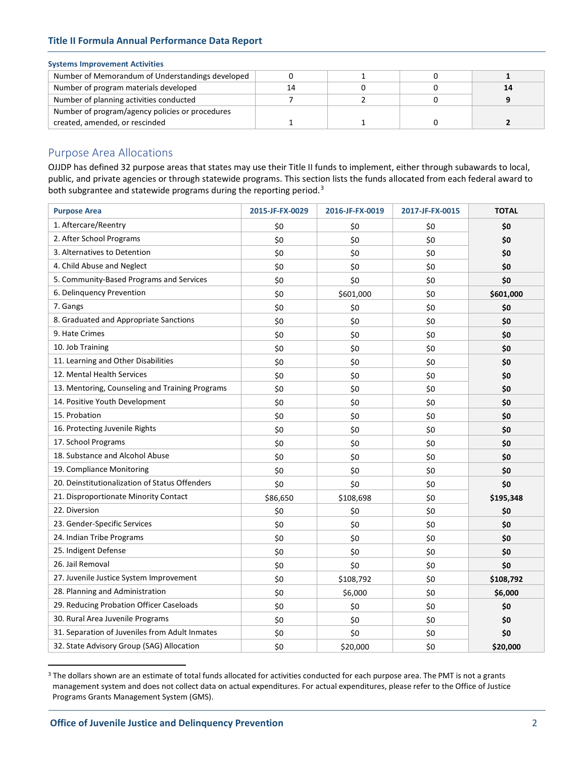# **Title II Formula Annual Performance Data Report**

## **Systems Improvement Activities**

| Number of Memorandum of Understandings developed |    |  |  |
|--------------------------------------------------|----|--|--|
| Number of program materials developed            | 14 |  |  |
| Number of planning activities conducted          |    |  |  |
| Number of program/agency policies or procedures  |    |  |  |
| created, amended, or rescinded                   |    |  |  |

# Purpose Area Allocations

OJJDP has defined 32 purpose areas that states may use their Title II funds to implement, either through subawards to local, public, and private agencies or through statewide programs. This section lists the funds allocated from each federal award to both subgrantee and statewide programs during the reporting period.<sup>[3](#page-1-0)</sup>

| <b>Purpose Area</b>                             | 2015-JF-FX-0029 | 2016-JF-FX-0019 | 2017-JF-FX-0015 | <b>TOTAL</b> |
|-------------------------------------------------|-----------------|-----------------|-----------------|--------------|
| 1. Aftercare/Reentry                            | \$0             | \$0             | \$0             | \$0          |
| 2. After School Programs                        | \$0             | \$0             | \$0             | \$0          |
| 3. Alternatives to Detention                    | \$0             | \$0             | \$0             | \$0          |
| 4. Child Abuse and Neglect                      | \$0             | \$0             | \$0             | \$0          |
| 5. Community-Based Programs and Services        | \$0             | \$0             | \$0             | \$0          |
| 6. Delinquency Prevention                       | \$0             | \$601,000       | \$0             | \$601,000    |
| 7. Gangs                                        | \$0             | \$0             | \$0             | \$0          |
| 8. Graduated and Appropriate Sanctions          | \$0             | \$0             | \$0             | \$0          |
| 9. Hate Crimes                                  | \$0             | \$0             | \$0             | \$0          |
| 10. Job Training                                | \$0             | \$0             | \$0             | \$0          |
| 11. Learning and Other Disabilities             | \$0             | \$0             | \$0             | \$0          |
| 12. Mental Health Services                      | \$0             | \$0             | \$0             | \$0          |
| 13. Mentoring, Counseling and Training Programs | \$0             | \$0             | \$0             | \$0          |
| 14. Positive Youth Development                  | \$0             | \$0             | \$0             | \$0          |
| 15. Probation                                   | \$0             | \$0             | \$0             | \$0          |
| 16. Protecting Juvenile Rights                  | \$0             | \$0             | \$0             | \$0          |
| 17. School Programs                             | \$0             | \$0             | \$0             | \$0          |
| 18. Substance and Alcohol Abuse                 | \$0             | \$0             | \$0             | \$0          |
| 19. Compliance Monitoring                       | \$0             | \$0             | \$0             | \$0          |
| 20. Deinstitutionalization of Status Offenders  | \$0             | \$0             | \$0             | \$0          |
| 21. Disproportionate Minority Contact           | \$86,650        | \$108,698       | \$0             | \$195,348    |
| 22. Diversion                                   | \$0             | \$0             | \$0             | \$0          |
| 23. Gender-Specific Services                    | \$0             | \$0             | \$0             | \$0          |
| 24. Indian Tribe Programs                       | \$0             | \$0             | \$0             | \$0          |
| 25. Indigent Defense                            | \$0             | \$0             | \$0             | \$0          |
| 26. Jail Removal                                | \$0             | \$0             | \$0             | \$0          |
| 27. Juvenile Justice System Improvement         | \$0             | \$108,792       | \$0             | \$108,792    |
| 28. Planning and Administration                 | \$0             | \$6,000         | \$0             | \$6,000      |
| 29. Reducing Probation Officer Caseloads        | \$0             | \$0             | \$0             | \$0          |
| 30. Rural Area Juvenile Programs                | \$0             | \$0             | \$0             | \$0          |
| 31. Separation of Juveniles from Adult Inmates  | \$0             | \$0             | \$0             | \$0          |
| 32. State Advisory Group (SAG) Allocation       | \$0             | \$20,000        | \$0             | \$20,000     |

<span id="page-1-0"></span><sup>&</sup>lt;sup>3</sup> The dollars shown are an estimate of total funds allocated for activities conducted for each purpose area. The PMT is not a grants management system and does not collect data on actual expenditures. For actual expenditures, please refer to the Office of Justice Programs Grants Management System (GMS).

 $\overline{a}$